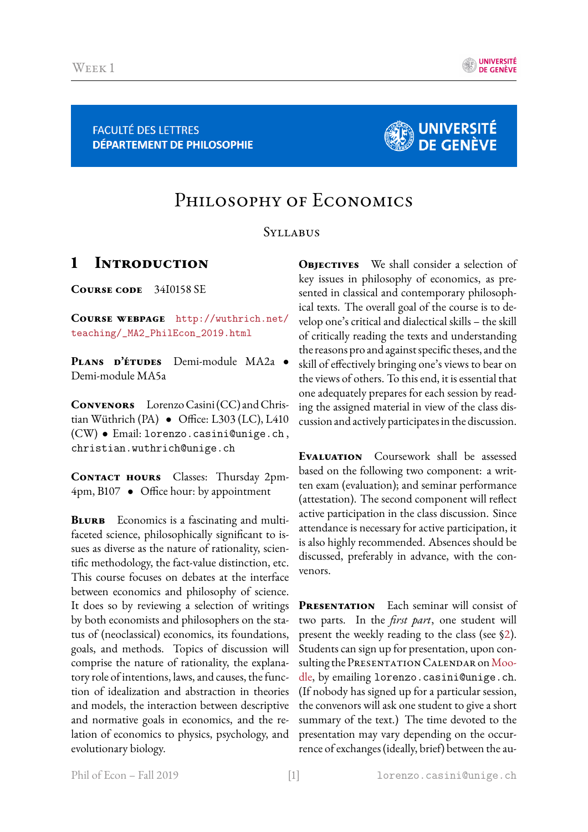

**FACULTÉ DES LETTRES DÉPARTEMENT DE PHILOSOPHIE** 



# PHILOSOPHY OF ECONOMICS

#### **SYLLABUS**

### **1 Introduction**

**Course code** 34I0158 SE

**Course webpage** [http://wuthrich.net/](http://wuthrich.net/teaching/_MA2_PhilEcon_2019.html) [teaching/\\_MA2\\_PhilEcon\\_2019.html](http://wuthrich.net/teaching/_MA2_PhilEcon_2019.html)

**Plans d'etudes ´** Demi-module MA2a • Demi-module MA5a

**Convenors** Lorenzo Casini (CC) and Christian Wüthrich (PA)  $\bullet$  Office: L303 (LC), L410 (CW) • Email: lorenzo.casini@unige.ch , christian.wuthrich@unige.ch

**Contact hours** Classes: Thursday 2pm- $4pm, B107$  • Office hour: by appointment

**BLURB** Economics is a fascinating and multifaceted science, philosophically significant to issues as diverse as the nature of rationality, scientic methodology, the fact-value distinction, etc. This course focuses on debates at the interface between economics and philosophy of science. It does so by reviewing a selection of writings by both economists and philosophers on the status of (neoclassical) economics, its foundations, goals, and methods. Topics of discussion will comprise the nature of rationality, the explanatory role of intentions, laws, and causes, the function of idealization and abstraction in theories and models, the interaction between descriptive and normative goals in economics, and the relation of economics to physics, psychology, and evolutionary biology.

**OBJECTIVES** We shall consider a selection of key issues in philosophy of economics, as presented in classical and contemporary philosophical texts. The overall goal of the course is to develop one's critical and dialectical skills – the skill of critically reading the texts and understanding the reasons pro and against specific theses, and the skill of effectively bringing one's views to bear on the views of others. To this end, it is essential that one adequately prepares for each session by reading the assigned material in view of the class discussion and actively participates in the discussion.

**Evaluation** Coursework shall be assessed based on the following two component: a written exam (evaluation); and seminar performance (attestation). The second component will reflect active participation in the class discussion. Since attendance is necessary for active participation, it is also highly recommended. Absences should be discussed, preferably in advance, with the convenors.

**PRESENTATION** Each seminar will consist of two parts. In the *first part*, one student will present the weekly reading to the class (see [§2\)](#page-1-0). Students can sign up for presentation, upon con-sulting the PRESENTATION CALENDAR on [Moo](https://moodle.unige.ch)[dle,](https://moodle.unige.ch) by emailing lorenzo.casini@unige.ch. (If nobody has signed up for a particular session, the convenors will ask one student to give a short summary of the text.) The time devoted to the presentation may vary depending on the occurrence of exchanges (ideally, brief) between the au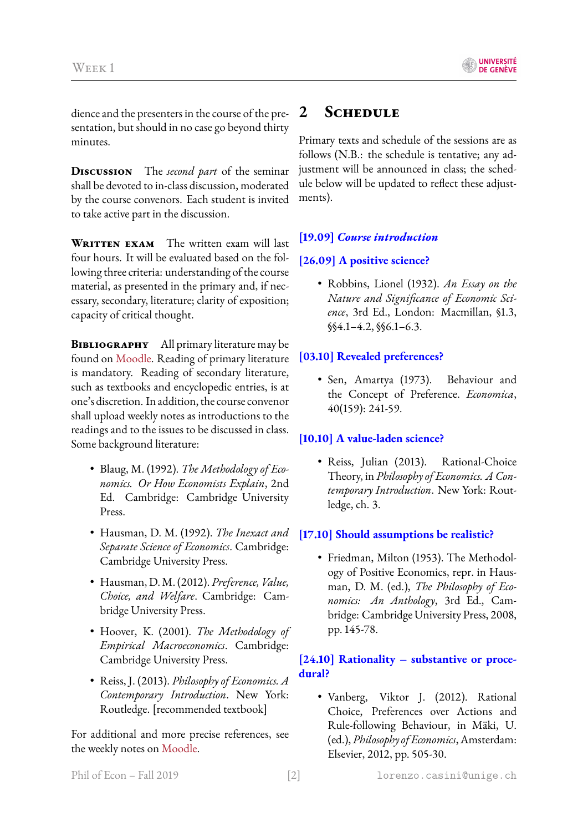dience and the presenters in the course of the presentation, but should in no case go beyond thirty minutes.

**Discussion** The *second part* of the seminar shall be devoted to in-class discussion, moderated by the course convenors. Each student is invited to take active part in the discussion.

**WRITTEN EXAM** The written exam will last four hours. It will be evaluated based on the following three criteria: understanding of the course material, as presented in the primary and, if necessary, secondary, literature; clarity of exposition; capacity of critical thought.

**BIBLIOGRAPHY** All primary literature may be found on [Moodle.](https://moodle.unige.ch) Reading of primary literature is mandatory. Reading of secondary literature, such as textbooks and encyclopedic entries, is at one's discretion. In addition, the course convenor shall upload weekly notes as introductions to the readings and to the issues to be discussed in class. Some background literature:

- Blaug, M. (1992). *The Methodology of Economics. Or How Economists Explain*, 2nd Ed. Cambridge: Cambridge University Press.
- Hausman, D. M. (1992). *The Inexact and Separate Science of Economics*. Cambridge: Cambridge University Press.
- Hausman, D. M. (2012). *Preference, Value, Choice, and Welfare*. Cambridge: Cambridge University Press.
- Hoover, K. (2001). *The Methodology of Empirical Macroeconomics*. Cambridge: Cambridge University Press.
- Reiss, J. (2013). *Philosophy of Economics. A Contemporary Introduction*. New York: Routledge. [recommended textbook]

For additional and more precise references, see the weekly notes on [Moodle.](https://moodle.unige.ch)

## <span id="page-1-0"></span>**2 Schedule**

Primary texts and schedule of the sessions are as follows (N.B.: the schedule is tentative; any adjustment will be announced in class; the schedule below will be updated to reflect these adjustments).

#### **[19.09]** *Course introduction*

#### **[26.09] A positive science?**

• Robbins, Lionel (1932). *An Essay on the Nature and Significance of Economic Science*, 3rd Ed., London: Macmillan, §1.3, §§4.1–4.2, §§6.1–6.3.

#### **[03.10] Revealed preferences?**

• Sen, Amartya (1973). Behaviour and the Concept of Preference. *Economica*, 40(159): 241-59.

#### **[10.10] A value-laden science?**

• Reiss, Julian (2013). Rational-Choice Theory, in *Philosophy of Economics. A Contemporary Introduction*. New York: Routledge, ch. 3.

#### **[17.10] Should assumptions be realistic?**

• Friedman, Milton (1953). The Methodology of Positive Economics, repr. in Hausman, D. M. (ed.), *The Philosophy of Economics: An Anthology*, 3rd Ed., Cambridge: Cambridge University Press, 2008, pp. 145-78.

#### **[24.10] Rationality – substantive or procedural?**

• Vanberg, Viktor J. (2012). Rational Choice, Preferences over Actions and Rule-following Behaviour, in Mäki, U. (ed.), *Philosophy of Economics*, Amsterdam: Elsevier, 2012, pp. 505-30.